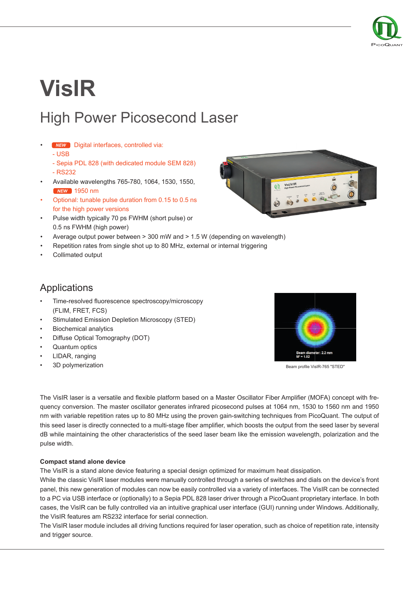

# **VisIR** High Power Picosecond Laser

- Digital interfaces, controlled via: *NEW*
	- USB
	- Sepia PDL 828 (with dedicated module SEM 828)
	- RS232
- Available wavelengths 765-780, 1064, 1530, 1550, 1950 nm *NEW*
- Optional: tunable pulse duration from 0.15 to 0.5 ns for the high power versions
- Pulse width typically 70 ps FWHM (short pulse) or 0.5 ns FWHM (high power)
- Average output power between > 300 mW and > 1.5 W (depending on wavelength)
- Repetition rates from single shot up to 80 MHz, external or internal triggering
- Collimated output



## **Applications**

- Time-resolved fluorescence spectroscopy/microscopy (FLIM, FRET, FCS)
- Stimulated Emission Depletion Microscopy (STED)
- **Biochemical analytics**
- Diffuse Optical Tomography (DOT)
- Quantum optics
- LIDAR, ranging
- 3D polymerization



Beam profile VisIR-765 "STED"

The VisIR laser is a versatile and flexible platform based on a Master Oscillator Fiber Amplifier (MOFA) concept with frequency conversion. The master oscillator generates infrared picosecond pulses at 1064 nm, 1530 to 1560 nm and 1950 nm with variable repetition rates up to 80 MHz using the proven gain-switching techniques from PicoQuant. The output of this seed laser is directly connected to a multi-stage fiber amplifier, which boosts the output from the seed laser by several dB while maintaining the other characteristics of the seed laser beam like the emission wavelength, polarization and the pulse width.

#### **Compact stand alone device**

The VisIR is a stand alone device featuring a special design optimized for maximum heat dissipation.

While the classic VisIR laser modules were manually controlled through a series of switches and dials on the device's front panel, this new generation of modules can now be easily controlled via a variety of interfaces. The VisIR can be connected to a PC via USB interface or (optionally) to a Sepia PDL 828 laser driver through a PicoQuant proprietary interface. In both cases, the VisIR can be fully controlled via an intuitive graphical user interface (GUI) running under Windows. Additionally, the VisIR features am RS232 interface for serial connection.

The VisIR laser module includes all driving functions required for laser operation, such as choice of repetition rate, intensity and trigger source.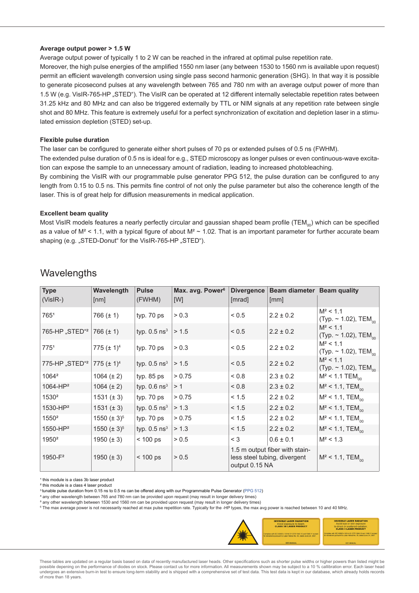#### **Average output power > 1.5 W**

Average output power of typically 1 to 2 W can be reached in the infrared at optimal pulse repetition rate.

Moreover, the high pulse energies of the amplified 1550 nm laser (any between 1530 to 1560 nm is available upon request) permit an efficient wavelength conversion using single pass second harmonic generation (SHG). In that way it is possible to generate picosecond pulses at any wavelength between 765 and 780 nm with an average output power of more than 1.5 W (e.g. VisIR-765-HP "STED"). The VisIR can be operated at 12 different internally selectable repetition rates between 31.25 kHz and 80 MHz and can also be triggered externally by TTL or NIM signals at any repetition rate between single shot and 80 MHz. This feature is extremely useful for a perfect synchronization of excitation and depletion laser in a stimulated emission depletion (STED) set-up.

#### **Flexible pulse duration**

The laser can be configured to generate either short pulses of 70 ps or extended pulses of 0.5 ns (FWHM).

The extended pulse duration of 0.5 ns is ideal for e.g., STED microscopy as longer pulses or even continuous-wave excitation can expose the sample to an unnecessary amount of radiation, leading to increased photobleaching.

By combining the VisIR with our programmable pulse generator PPG 512, the pulse duration can be configured to any length from 0.15 to 0.5 ns. This permits fine control of not only the pulse parameter but also the coherence length of the laser. This is of great help for diffusion measurements in medical application.

#### **Excellent beam quality**

Most VisIR models features a nearly perfectly circular and gaussian shaped beam profile (TEM<sub>00</sub>) which can be specified as a value of  $M^2$  < 1.1, with a typical figure of about  $M^2 \sim 1.02$ . That is an important parameter for further accurate beam shaping (e.g. "STED-Donut" for the VisIR-765-HP "STED").

| <b>Type</b><br>$(VisIR-)$  | Wavelength<br>[nm] | <b>Pulse</b><br>(FWHM)     | Max. avg. Power <sup>6</sup><br>[W] | <b>Divergence</b><br>[mrad] | Beam diameter Beam quality<br>[mm]                             |                                                      |
|----------------------------|--------------------|----------------------------|-------------------------------------|-----------------------------|----------------------------------------------------------------|------------------------------------------------------|
| 7651                       | 766 $(\pm 1)$      | typ. $70$ ps               | > 0.3                               | ${}_{0.5}$                  | $2.2 \pm 0.2$                                                  | $M^2$ < 1.1<br>(Typ. $\sim$ 1.02), TEM <sub>00</sub> |
| 765-HP "STED" <sup>2</sup> | 766 $(\pm 1)$      | typ. $0.5$ ns <sup>3</sup> | > 1.5                               | < 0.5                       | $2.2 \pm 0.2$                                                  | $M^2$ < 1.1<br>(Typ. $\sim$ 1.02), TEM <sub>00</sub> |
| 775 <sup>1</sup>           | 775 $(\pm 1)^4$    | typ. 70 ps                 | > 0.3                               | ${}_{0.5}$                  | $2.2 \pm 0.2$                                                  | $M^2$ < 1.1<br>(Typ. $\sim$ 1.02), TEM <sub>00</sub> |
| 775-HP "STED" <sup>2</sup> | 775 $(\pm 1)^4$    | typ. $0.5$ ns <sup>3</sup> | > 1.5                               | < 0.5                       | $2.2 \pm 0.2$                                                  | $M^2$ < 1.1<br>(Typ. $\sim$ 1.02), TEM <sub>00</sub> |
| 1064 <sup>2</sup>          | 1064 $(\pm 2)$     | typ. $85$ ps               | > 0.75                              | 0.8                         | $2.3 \pm 0.2$                                                  | $M^2$ < 1.1 TEM <sub>00</sub>                        |
| 1064-HP <sup>2</sup>       | 1064 $(\pm 2)$     | typ. $0.6$ ns <sup>3</sup> | >1                                  | 0.8                         | $2.3 \pm 0.2$                                                  | $M^2$ < 1.1, TEM <sub>00</sub>                       |
| 1530 <sup>2</sup>          | $1531 (\pm 3)$     | typ. 70 ps                 | > 0.75                              | < 1.5                       | $2.2 \pm 0.2$                                                  | $M^2$ < 1.1, TEM <sub>00</sub>                       |
| 1530-HP <sup>2</sup>       | $1531 (\pm 3)$     | typ. $0.5$ ns <sup>3</sup> | > 1.3                               | < 1.5                       | $2.2 \pm 0.2$                                                  | $M^2$ < 1.1, TEM <sub>00</sub>                       |
| 1550 <sup>2</sup>          | 1550 $(\pm 3)^5$   | typ. 70 ps                 | > 0.75                              | < 1.5                       | $2.2 \pm 0.2$                                                  | $M^2$ < 1.1, TEM <sub>00</sub>                       |
| 1550-HP <sup>2</sup>       | 1550 $(\pm 3)^5$   | typ. $0.5$ ns <sup>3</sup> | > 1.3                               | < 1.5                       | $2.2 \pm 0.2$                                                  | $M^2$ < 1.1, TEM <sub>00</sub>                       |
| 1950 <sup>2</sup>          | 1950 $(\pm 3)$     | $< 100$ ps                 | > 0.5                               | $<$ 3                       | $0.6 \pm 0.1$                                                  | $M^2$ < 1.3                                          |
| $1950-F^2$                 | 1950 $(\pm 3)$     | $< 100$ ps                 | > 0.5                               | output 0.15 NA              | 1.5 m output fiber with stain-<br>less steel tubing, divergent | $M^2$ < 1.1, TEM <sub>00</sub>                       |

### **Wavelengths**

<sup>1</sup> this module is a class 3b laser product ² this module is a class 4 laser product

<sup>3</sup>tunable pulse duration from 0.15 ns to 0.5 ns can be offered along with our Programmable Pulse Generator ([PPG 512\)](https://www.picoquant.com/products/category/nanosecond-pulse-shaping/ppg-512-programmable-pulse-generator)

⁴ any other wavelength between 765 and 780 nm can be provided upon request (may result in longer delivery times)

⁵ any other wavelength between 1530 and 1560 nm can be provided upon request (may result in longer delivery times)

6 The max average power is not necessarily reached at max pulse repetition rate. Typically for the -HP types, the max avg power is reached between 10 and 40 MHz.



These tables are updated on a regular basis based on data of recently manufactured laser heads. Other specifications such as shorter pulse widths or higher powers than listed might be possible depening on the performance of diodes on stock. Please contact us for more information. All measurements shown may be subject to a 10 % callibration error. Each laser head undergoes an extensive burn-in test to ensure long-term stability and is shipped with a comprehensive set of test data. This test data is kept in our database, which already holds records of more than 18 years.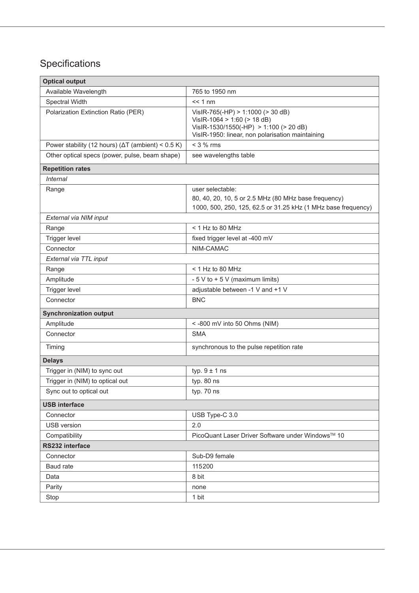# Specifications

| <b>Optical output</b>                                      |                                                                                                                                                                |  |  |  |  |  |
|------------------------------------------------------------|----------------------------------------------------------------------------------------------------------------------------------------------------------------|--|--|--|--|--|
| Available Wavelength                                       | 765 to 1950 nm                                                                                                                                                 |  |  |  |  |  |
| Spectral Width                                             | $<< 1$ nm                                                                                                                                                      |  |  |  |  |  |
| Polarization Extinction Ratio (PER)                        | VisIR-765(-HP) > 1:1000 (> 30 dB)<br>VisIR-1064 > 1:60 (> 18 dB)<br>VisIR-1530/1550(-HP) > 1:100 (> 20 dB)<br>VisIR-1950: linear, non polarisation maintaining |  |  |  |  |  |
| Power stability (12 hours) ( $\Delta T$ (ambient) < 0.5 K) | $<$ 3 % rms                                                                                                                                                    |  |  |  |  |  |
| Other optical specs (power, pulse, beam shape)             | see wavelengths table                                                                                                                                          |  |  |  |  |  |
| <b>Repetition rates</b>                                    |                                                                                                                                                                |  |  |  |  |  |
| <b>Internal</b>                                            |                                                                                                                                                                |  |  |  |  |  |
| Range                                                      | user selectable:<br>80, 40, 20, 10, 5 or 2.5 MHz (80 MHz base frequency)<br>1000, 500, 250, 125, 62.5 or 31.25 kHz (1 MHz base frequency)                      |  |  |  |  |  |
| External via NIM input                                     |                                                                                                                                                                |  |  |  |  |  |
| Range                                                      | $<$ 1 Hz to 80 MHz                                                                                                                                             |  |  |  |  |  |
| Trigger level                                              | fixed trigger level at -400 mV                                                                                                                                 |  |  |  |  |  |
| Connector                                                  | NIM-CAMAC                                                                                                                                                      |  |  |  |  |  |
| External via TTL input                                     |                                                                                                                                                                |  |  |  |  |  |
| Range                                                      | $<$ 1 Hz to 80 MHz                                                                                                                                             |  |  |  |  |  |
| Amplitude                                                  | $-5$ V to $+5$ V (maximum limits)                                                                                                                              |  |  |  |  |  |
| <b>Trigger level</b>                                       | adjustable between -1 V and +1 V                                                                                                                               |  |  |  |  |  |
| Connector                                                  | <b>BNC</b>                                                                                                                                                     |  |  |  |  |  |
| <b>Synchronization output</b>                              |                                                                                                                                                                |  |  |  |  |  |
| Amplitude                                                  | <-800 mV into 50 Ohms (NIM)                                                                                                                                    |  |  |  |  |  |
| Connector                                                  | <b>SMA</b>                                                                                                                                                     |  |  |  |  |  |
| Timing                                                     | synchronous to the pulse repetition rate                                                                                                                       |  |  |  |  |  |
| <b>Delays</b>                                              |                                                                                                                                                                |  |  |  |  |  |
| Trigger in (NIM) to sync out                               | typ. $9 \pm 1$ ns                                                                                                                                              |  |  |  |  |  |
| Trigger in (NIM) to optical out                            | typ. 80 ns                                                                                                                                                     |  |  |  |  |  |
| Sync out to optical out                                    | typ. 70 ns                                                                                                                                                     |  |  |  |  |  |
| <b>USB interface</b>                                       |                                                                                                                                                                |  |  |  |  |  |
| Connector                                                  | USB Type-C 3.0                                                                                                                                                 |  |  |  |  |  |
| <b>USB</b> version                                         | 2.0                                                                                                                                                            |  |  |  |  |  |
| Compatibility                                              | PicoQuant Laser Driver Software under Windows™ 10                                                                                                              |  |  |  |  |  |
| RS232 interface                                            |                                                                                                                                                                |  |  |  |  |  |
| Connector                                                  | Sub-D9 female                                                                                                                                                  |  |  |  |  |  |
| Baud rate                                                  | 115200                                                                                                                                                         |  |  |  |  |  |
| Data                                                       | 8 bit                                                                                                                                                          |  |  |  |  |  |
| Parity                                                     | none                                                                                                                                                           |  |  |  |  |  |
| Stop                                                       | 1 bit                                                                                                                                                          |  |  |  |  |  |